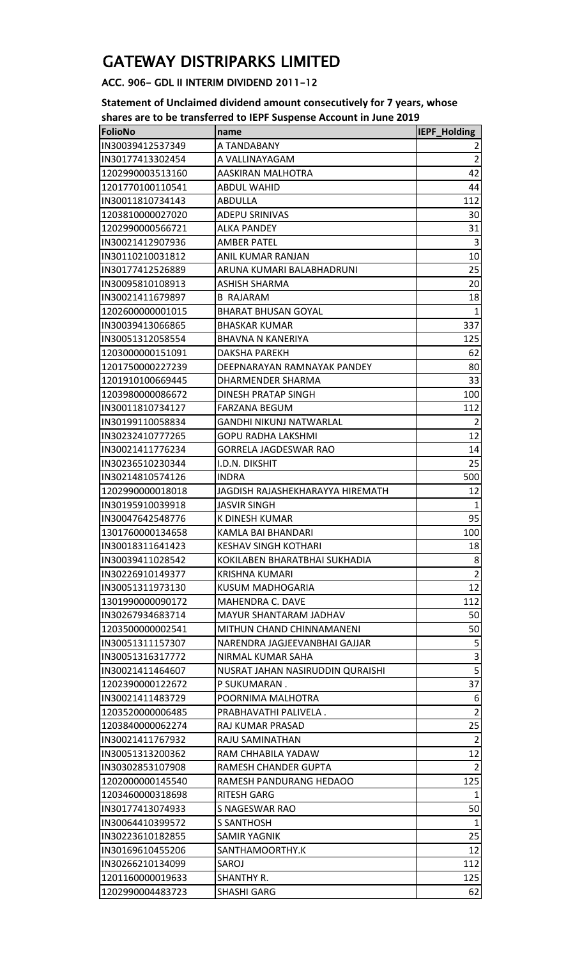## GATEWAY DISTRIPARKS LIMITED

## ACC. 906- GDL II INTERIM DIVIDEND 2011-12

**Statement of Unclaimed dividend amount consecutively for 7 years, whose shares are to be transferred to IEPF Suspense Account in June 2019**

| <b>FolioNo</b>   | name                             | <b>IEPF_Holding</b> |
|------------------|----------------------------------|---------------------|
| IN30039412537349 | A TANDABANY                      | 2                   |
| IN30177413302454 | A VALLINAYAGAM                   | $\overline{2}$      |
| 1202990003513160 | AASKIRAN MALHOTRA                | 42                  |
| 1201770100110541 | ABDUL WAHID                      | 44                  |
| IN30011810734143 | <b>ABDULLA</b>                   | 112                 |
| 1203810000027020 | ADEPU SRINIVAS                   | 30                  |
| 1202990000566721 | <b>ALKA PANDEY</b>               | 31                  |
| IN30021412907936 | <b>AMBER PATEL</b>               | 3                   |
| IN30110210031812 | ANIL KUMAR RANJAN                | 10                  |
| IN30177412526889 | ARUNA KUMARI BALABHADRUNI        | 25                  |
| IN30095810108913 | ASHISH SHARMA                    | 20                  |
| IN30021411679897 | <b>B RAJARAM</b>                 | 18                  |
| 1202600000001015 | <b>BHARAT BHUSAN GOYAL</b>       | $\mathbf{1}$        |
| IN30039413066865 | <b>BHASKAR KUMAR</b>             | 337                 |
| IN30051312058554 | <b>BHAVNA N KANERIYA</b>         | 125                 |
| 1203000000151091 | <b>DAKSHA PAREKH</b>             | 62                  |
| 1201750000227239 | DEEPNARAYAN RAMNAYAK PANDEY      | 80                  |
| 1201910100669445 | DHARMENDER SHARMA                | 33                  |
| 1203980000086672 | DINESH PRATAP SINGH              | 100                 |
| IN30011810734127 | <b>FARZANA BEGUM</b>             | 112                 |
| IN30199110058834 | GANDHI NIKUNJ NATWARLAL          | $\overline{2}$      |
| IN30232410777265 | <b>GOPU RADHA LAKSHMI</b>        | 12                  |
| IN30021411776234 | GORRELA JAGDESWAR RAO            | 14                  |
| IN30236510230344 | I.D.N. DIKSHIT                   | 25                  |
| IN30214810574126 | <b>INDRA</b>                     | 500                 |
| 1202990000018018 | JAGDISH RAJASHEKHARAYYA HIREMATH | 12                  |
| IN30195910039918 | <b>JASVIR SINGH</b>              | $\mathbf{1}$        |
| IN30047642548776 | K DINESH KUMAR                   | 95                  |
| 1301760000134658 | KAMLA BAI BHANDARI               | 100                 |
| IN30018311641423 | <b>KESHAV SINGH KOTHARI</b>      | 18                  |
| IN30039411028542 | KOKILABEN BHARATBHAI SUKHADIA    | 8 <sup>2</sup>      |
| IN30226910149377 | KRISHNA KUMARI                   | $\overline{2}$      |
| IN30051311973130 | KUSUM MADHOGARIA                 | 12                  |
| 1301990000090172 | <b>MAHENDRA C. DAVE</b>          | 112                 |
| IN30267934683714 | <b>MAYUR SHANTARAM JADHAV</b>    | 50                  |
| 1203500000002541 | MITHUN CHAND CHINNAMANENI        | 50                  |
| IN30051311157307 | NARENDRA JAGJEEVANBHAI GAJJAR    | 5                   |
| IN30051316317772 | NIRMAL KUMAR SAHA                | $\mathsf 3$         |
| IN30021411464607 | NUSRAT JAHAN NASIRUDDIN QURAISHI | $\overline{5}$      |
| 1202390000122672 | P SUKUMARAN.                     | 37                  |
| IN30021411483729 | POORNIMA MALHOTRA                | 6                   |
| 1203520000006485 | PRABHAVATHI PALIVELA.            | $\overline{2}$      |
| 1203840000062274 | RAJ KUMAR PRASAD                 | 25                  |
| IN30021411767932 | RAJU SAMINATHAN                  | $\overline{2}$      |
| IN30051313200362 | RAM CHHABILA YADAW               | 12                  |
| IN30302853107908 | RAMESH CHANDER GUPTA             | $\overline{2}$      |
| 1202000000145540 | RAMESH PANDURANG HEDAOO          | 125                 |
| 1203460000318698 | <b>RITESH GARG</b>               | $\mathbf{1}$        |
| IN30177413074933 | S NAGESWAR RAO                   | 50                  |
| IN30064410399572 | S SANTHOSH                       | $\mathbf{1}$        |
| IN30223610182855 | SAMIR YAGNIK                     | 25                  |
| IN30169610455206 | SANTHAMOORTHY.K                  | 12                  |
| IN30266210134099 | SAROJ                            | 112                 |
| 1201160000019633 | SHANTHY R.                       | 125                 |
| 1202990004483723 | <b>SHASHI GARG</b>               | 62                  |